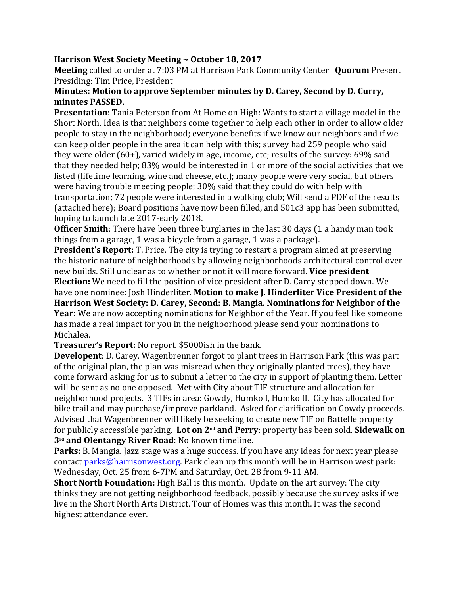## **Harrison West Society Meeting ~ October 18, 2017**

**Meeting** called to order at 7:03 PM at Harrison Park Community Center **Quorum** Present Presiding: Tim Price, President

## **Minutes: Motion to approve September minutes by D. Carey, Second by D. Curry, minutes PASSED.**

**Presentation**: Tania Peterson from At Home on High: Wants to start a village model in the Short North. Idea is that neighbors come together to help each other in order to allow older people to stay in the neighborhood; everyone benefits if we know our neighbors and if we can keep older people in the area it can help with this; survey had 259 people who said they were older (60+), varied widely in age, income, etc; results of the survey: 69% said that they needed help; 83% would be interested in 1 or more of the social activities that we listed (lifetime learning, wine and cheese, etc.); many people were very social, but others were having trouble meeting people; 30% said that they could do with help with transportation; 72 people were interested in a walking club; Will send a PDF of the results (attached here); Board positions have now been filled, and 501c3 app has been submitted, hoping to launch late 2017-early 2018.

**Officer Smith**: There have been three burglaries in the last 30 days (1 a handy man took things from a garage, 1 was a bicycle from a garage, 1 was a package).

**President's Report:** T. Price. The city is trying to restart a program aimed at preserving the historic nature of neighborhoods by allowing neighborhoods architectural control over new builds. Still unclear as to whether or not it will more forward. **Vice president Election:** We need to fill the position of vice president after D. Carey stepped down. We have one nominee: Josh Hinderliter. **Motion to make J. Hinderliter Vice President of the Harrison West Society: D. Carey, Second: B. Mangia. Nominations for Neighbor of the Year:** We are now accepting nominations for Neighbor of the Year. If you feel like someone has made a real impact for you in the neighborhood please send your nominations to Michalea.

**Treasurer's Report:** No report. \$5000ish in the bank.

**Developent**: D. Carey. Wagenbrenner forgot to plant trees in Harrison Park (this was part of the original plan, the plan was misread when they originally planted trees), they have come forward asking for us to submit a letter to the city in support of planting them. Letter will be sent as no one opposed. Met with City about TIF structure and allocation for neighborhood projects. 3 TIFs in area: Gowdy, Humko I, Humko II. City has allocated for bike trail and may purchase/improve parkland. Asked for clarification on Gowdy proceeds. Advised that Wagenbrenner will likely be seeking to create new TIF on Battelle property for publicly accessible parking. Lot on 2<sup>nd</sup> and Perry: property has been sold. Sidewalk on **3rd and Olentangy River Road**: No known timeline.

**Parks:** B. Mangia. Jazz stage was a huge success. If you have any ideas for next year please contact parks@harrisonwest.org. Park clean up this month will be in Harrison west park: Wednesday, Oct. 25 from 6-7PM and Saturday, Oct. 28 from 9-11 AM.

**Short North Foundation:** High Ball is this month.Update on the art survey: The city thinks they are not getting neighborhood feedback, possibly because the survey asks if we live in the Short North Arts District. Tour of Homes was this month. It was the second highest attendance ever.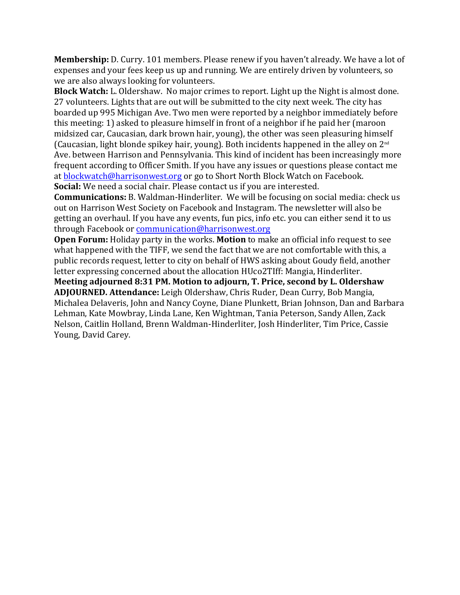**Membership:** D. Curry. 101 members. Please renew if you haven't already. We have a lot of expenses and your fees keep us up and running. We are entirely driven by volunteers, so we are also always looking for volunteers.

**Block Watch:** L. Oldershaw. No major crimes to report. Light up the Night is almost done. 27 volunteers. Lights that are out will be submitted to the city next week. The city has boarded up 995 Michigan Ave. Two men were reported by a neighbor immediately before this meeting: 1) asked to pleasure himself in front of a neighbor if he paid her (maroon midsized car, Caucasian, dark brown hair, young), the other was seen pleasuring himself (Caucasian, light blonde spikey hair, young). Both incidents happened in the alley on  $2<sup>nd</sup>$ Ave. between Harrison and Pennsylvania. This kind of incident has been increasingly more frequent according to Officer Smith. If you have any issues or questions please contact me at blockwatch@harrisonwest.org or go to Short North Block Watch on Facebook. **Social:** We need a social chair. Please contact us if you are interested.

**Communications:** B. Waldman-Hinderliter. We will be focusing on social media: check us out on Harrison West Society on Facebook and Instagram. The newsletter will also be getting an overhaul. If you have any events, fun pics, info etc. you can either send it to us through Facebook or communication@harrisonwest.org

**Open Forum:** Holiday party in the works. **Motion** to make an official info request to see what happened with the TIFF, we send the fact that we are not comfortable with this, a public records request, letter to city on behalf of HWS asking about Goudy field, another letter expressing concerned about the allocation HUco2TIff: Mangia, Hinderliter.

**Meeting adjourned 8:31 PM. Motion to adjourn, T. Price, second by L. Oldershaw ADJOURNED. Attendance:** Leigh Oldershaw, Chris Ruder, Dean Curry, Bob Mangia, Michalea Delaveris, John and Nancy Coyne, Diane Plunkett, Brian Johnson, Dan and Barbara Lehman, Kate Mowbray, Linda Lane, Ken Wightman, Tania Peterson, Sandy Allen, Zack Nelson, Caitlin Holland, Brenn Waldman-Hinderliter, Josh Hinderliter, Tim Price, Cassie Young, David Carey.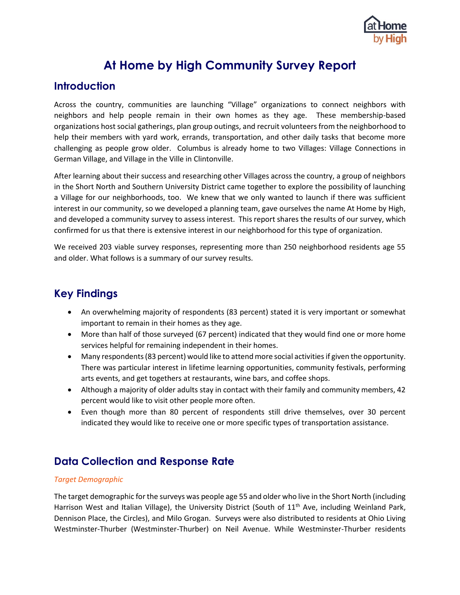

# **At Home by High Community Survey Report**

# **Introduction**

Across the country, communities are launching "Village" organizations to connect neighbors with neighbors and help people remain in their own homes as they age. These membership-based organizations host social gatherings, plan group outings, and recruit volunteers from the neighborhood to help their members with yard work, errands, transportation, and other daily tasks that become more challenging as people grow older. Columbus is already home to two Villages: Village Connections in German Village, and Village in the Ville in Clintonville.

After learning about their success and researching other Villages across the country, a group of neighbors in the Short North and Southern University District came together to explore the possibility of launching a Village for our neighborhoods, too. We knew that we only wanted to launch if there was sufficient interest in our community, so we developed a planning team, gave ourselves the name At Home by High, and developed a community survey to assess interest. This report shares the results of our survey, which confirmed for us that there is extensive interest in our neighborhood for this type of organization.

We received 203 viable survey responses, representing more than 250 neighborhood residents age 55 and older. What follows is a summary of our survey results.

# **Key Findings**

- An overwhelming majority of respondents (83 percent) stated it is very important or somewhat important to remain in their homes as they age.
- More than half of those surveyed (67 percent) indicated that they would find one or more home services helpful for remaining independent in their homes.
- Many respondents (83 percent) would like to attend more social activities if given the opportunity. There was particular interest in lifetime learning opportunities, community festivals, performing arts events, and get togethers at restaurants, wine bars, and coffee shops.
- Although a majority of older adults stay in contact with their family and community members, 42 percent would like to visit other people more often.
- Even though more than 80 percent of respondents still drive themselves, over 30 percent indicated they would like to receive one or more specific types of transportation assistance.

# **Data Collection and Response Rate**

### *Target Demographic*

The target demographic for the surveys was people age 55 and older who live in the Short North (including Harrison West and Italian Village), the University District (South of  $11<sup>th</sup>$  Ave, including Weinland Park, Dennison Place, the Circles), and Milo Grogan. Surveys were also distributed to residents at Ohio Living Westminster-Thurber (Westminster-Thurber) on Neil Avenue. While Westminster-Thurber residents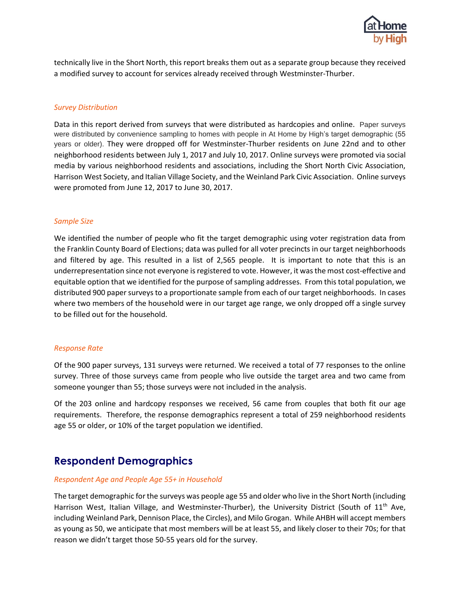

technically live in the Short North, this report breaks them out as a separate group because they received a modified survey to account for services already received through Westminster-Thurber.

#### *Survey Distribution*

Data in this report derived from surveys that were distributed as hardcopies and online. Paper surveys were distributed by convenience sampling to homes with people in At Home by High's target demographic (55 years or older). They were dropped off for Westminster-Thurber residents on June 22nd and to other neighborhood residents between July 1, 2017 and July 10, 2017. Online surveys were promoted via social media by various neighborhood residents and associations, including the Short North Civic Association, Harrison West Society, and Italian Village Society, and the Weinland Park Civic Association. Online surveys were promoted from June 12, 2017 to June 30, 2017.

#### *Sample Size*

We identified the number of people who fit the target demographic using voter registration data from the Franklin County Board of Elections; data was pulled for all voter precincts in our target neighborhoods and filtered by age. This resulted in a list of 2,565 people. It is important to note that this is an underrepresentation since not everyone is registered to vote. However, it was the most cost-effective and equitable option that we identified for the purpose of sampling addresses. From this total population, we distributed 900 paper surveys to a proportionate sample from each of our target neighborhoods. In cases where two members of the household were in our target age range, we only dropped off a single survey to be filled out for the household.

#### *Response Rate*

Of the 900 paper surveys, 131 surveys were returned. We received a total of 77 responses to the online survey. Three of those surveys came from people who live outside the target area and two came from someone younger than 55; those surveys were not included in the analysis.

Of the 203 online and hardcopy responses we received, 56 came from couples that both fit our age requirements. Therefore, the response demographics represent a total of 259 neighborhood residents age 55 or older, or 10% of the target population we identified.

# **Respondent Demographics**

#### *Respondent Age and People Age 55+ in Household*

The target demographic for the surveys was people age 55 and older who live in the Short North (including Harrison West, Italian Village, and Westminster-Thurber), the University District (South of 11<sup>th</sup> Ave, including Weinland Park, Dennison Place, the Circles), and Milo Grogan. While AHBH will accept members as young as 50, we anticipate that most members will be at least 55, and likely closer to their 70s; for that reason we didn't target those 50-55 years old for the survey.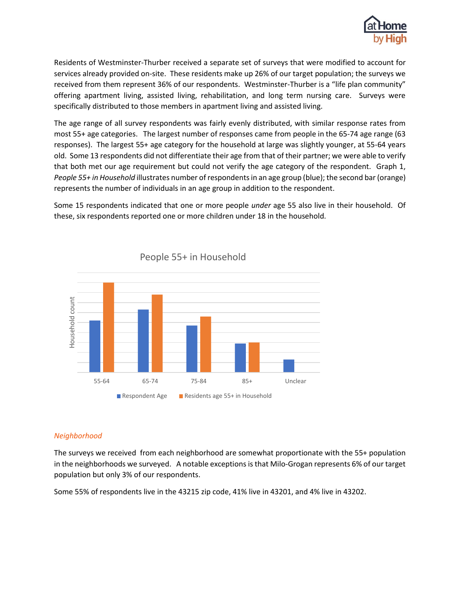

Residents of Westminster-Thurber received a separate set of surveys that were modified to account for services already provided on-site. These residents make up 26% of our target population; the surveys we received from them represent 36% of our respondents. Westminster-Thurber is a "life plan community" offering apartment living, assisted living, rehabilitation, and long term nursing care. Surveys were specifically distributed to those members in apartment living and assisted living.

The age range of all survey respondents was fairly evenly distributed, with similar response rates from most 55+ age categories. The largest number of responses came from people in the 65-74 age range (63 responses). The largest 55+ age category for the household at large was slightly younger, at 55-64 years old. Some 13 respondents did not differentiate their age from that of their partner; we were able to verify that both met our age requirement but could not verify the age category of the respondent. Graph 1, *People 55+ in Household* illustrates number of respondentsin an age group (blue); the second bar (orange) represents the number of individuals in an age group in addition to the respondent.

Some 15 respondents indicated that one or more people *under* age 55 also live in their household. Of these, six respondents reported one or more children under 18 in the household.



People 55+ in Household

### *Neighborhood*

The surveys we received from each neighborhood are somewhat proportionate with the 55+ population in the neighborhoods we surveyed. A notable exceptions is that Milo-Grogan represents 6% of our target population but only 3% of our respondents.

Some 55% of respondents live in the 43215 zip code, 41% live in 43201, and 4% live in 43202.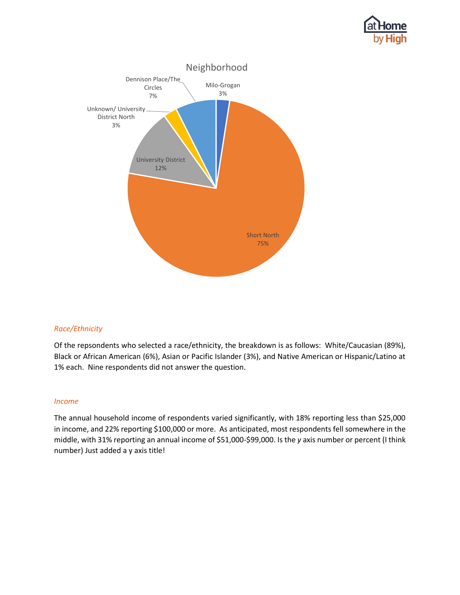



### *Race/Ethnicity*

Of the repsondents who selected a race/ethnicity, the breakdown is as follows: White/Caucasian (89%), Black or African American (6%), Asian or Pacific Islander (3%), and Native American or Hispanic/Latino at 1% each. Nine respondents did not answer the question.

#### *Income*

The annual household income of respondents varied significantly, with 18% reporting less than \$25,000 in income, and 22% reporting \$100,000 or more. As anticipated, most respondents fell somewhere in the middle, with 31% reporting an annual income of \$51,000-\$99,000. Is the *y* axis number or percent (I think number) Just added a y axis title!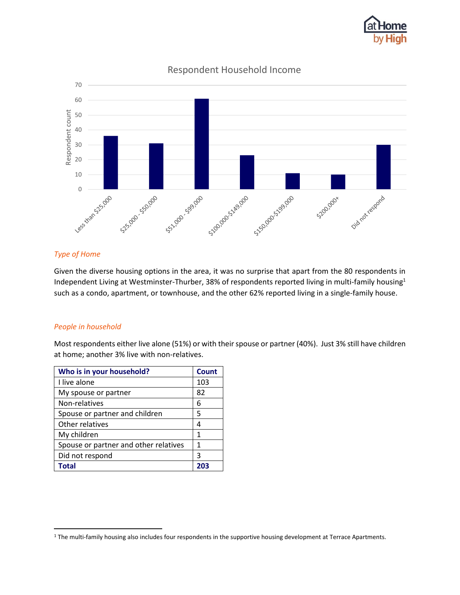



Respondent Household Income

## *Type of Home*

Given the diverse housing options in the area, it was no surprise that apart from the 80 respondents in Independent Living at Westminster-Thurber, 38% of respondents reported living in multi-family housing<sup>1</sup> such as a condo, apartment, or townhouse, and the other 62% reported living in a single-family house.

### *People in household*

 $\overline{\phantom{a}}$ 

Most respondents either live alone (51%) or with their spouse or partner (40%). Just 3% still have children at home; another 3% live with non-relatives.

| Who is in your household?             | <b>Count</b> |
|---------------------------------------|--------------|
| I live alone                          | 103          |
| My spouse or partner                  | 82           |
| Non-relatives                         | 6            |
| Spouse or partner and children        | 5            |
| Other relatives                       | 4            |
| My children                           | 1            |
| Spouse or partner and other relatives | 1            |
| Did not respond                       | 3            |
| Total                                 | 203          |

<sup>&</sup>lt;sup>1</sup> The multi-family housing also includes four respondents in the supportive housing development at Terrace Apartments.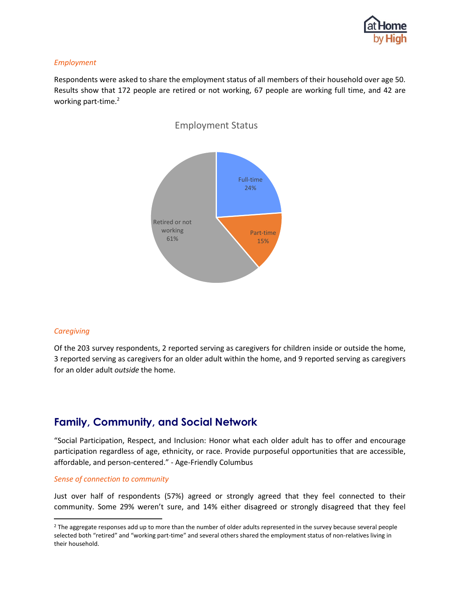

#### *Employment*

Respondents were asked to share the employment status of all members of their household over age 50. Results show that 172 people are retired or not working, 67 people are working full time, and 42 are working part-time.<sup>2</sup>



#### *Caregiving*

 $\overline{\phantom{a}}$ 

Of the 203 survey respondents, 2 reported serving as caregivers for children inside or outside the home, 3 reported serving as caregivers for an older adult within the home, and 9 reported serving as caregivers for an older adult *outside* the home.

# **Family, Community, and Social Network**

"Social Participation, Respect, and Inclusion: Honor what each older adult has to offer and encourage participation regardless of age, ethnicity, or race. Provide purposeful opportunities that are accessible, affordable, and person-centered." - Age-Friendly Columbus

#### *Sense of connection to community*

Just over half of respondents (57%) agreed or strongly agreed that they feel connected to their community. Some 29% weren't sure, and 14% either disagreed or strongly disagreed that they feel

<sup>&</sup>lt;sup>2</sup> The aggregate responses add up to more than the number of older adults represented in the survey because several people selected both "retired" and "working part-time" and several others shared the employment status of non-relatives living in their household.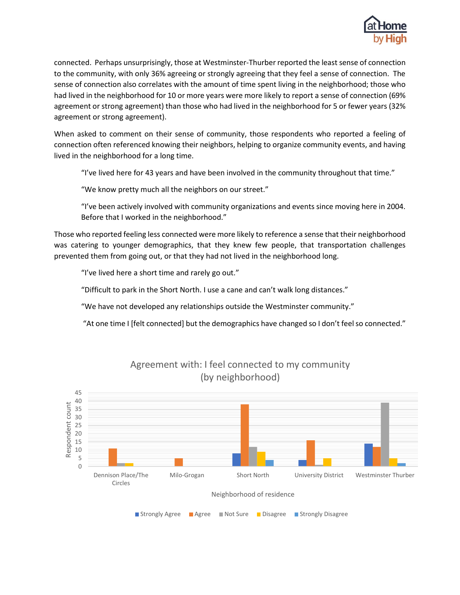

connected. Perhaps unsurprisingly, those at Westminster-Thurber reported the least sense of connection to the community, with only 36% agreeing or strongly agreeing that they feel a sense of connection. The sense of connection also correlates with the amount of time spent living in the neighborhood; those who had lived in the neighborhood for 10 or more years were more likely to report a sense of connection (69% agreement or strong agreement) than those who had lived in the neighborhood for 5 or fewer years (32% agreement or strong agreement).

When asked to comment on their sense of community, those respondents who reported a feeling of connection often referenced knowing their neighbors, helping to organize community events, and having lived in the neighborhood for a long time.

"I've lived here for 43 years and have been involved in the community throughout that time."

"We know pretty much all the neighbors on our street."

"I've been actively involved with community organizations and events since moving here in 2004. Before that I worked in the neighborhood."

Those who reported feeling less connected were more likely to reference a sense that their neighborhood was catering to younger demographics, that they knew few people, that transportation challenges prevented them from going out, or that they had not lived in the neighborhood long.

"I've lived here a short time and rarely go out."

"Difficult to park in the Short North. I use a cane and can't walk long distances."

"We have not developed any relationships outside the Westminster community."

"At one time I [felt connected] but the demographics have changed so I don't feel so connected."



Agreement with: I feel connected to my community (by neighborhood)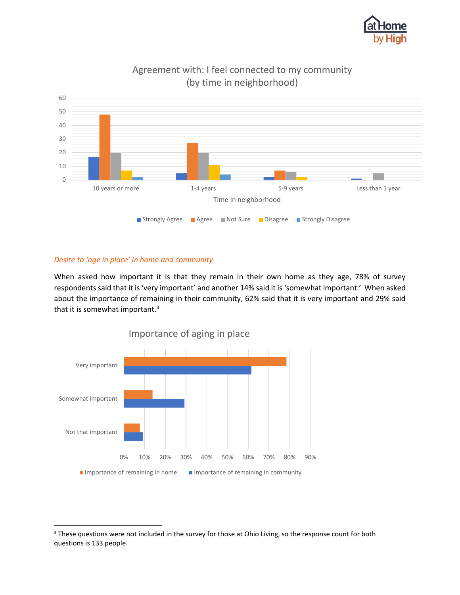



# Agreement with: I feel connected to my community (by time in neighborhood)

## *Desire to 'age in place' in home and community*

 $\overline{\phantom{a}}$ 

When asked how important it is that they remain in their own home as they age, 78% of survey respondents said that it is 'very important' and another 14% said it is 'somewhat important.' When asked about the importance of remaining in their community, 62% said that it is very important and 29% said that it is somewhat important.<sup>3</sup>



<sup>&</sup>lt;sup>3</sup> These questions were not included in the survey for those at Ohio Living, so the response count for both questions is 133 people.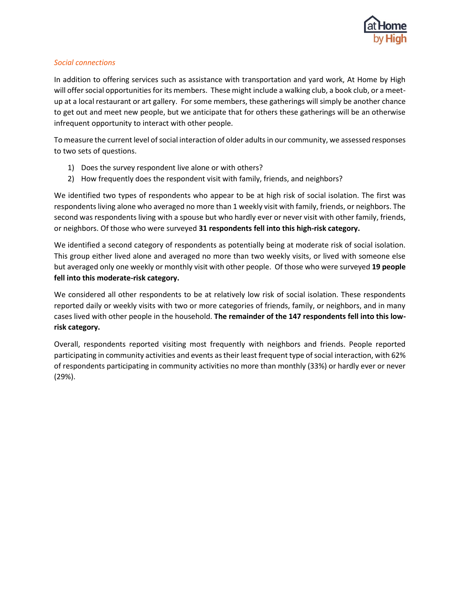

## *Social connections*

In addition to offering services such as assistance with transportation and yard work, At Home by High will offer social opportunities for its members. These might include a walking club, a book club, or a meetup at a local restaurant or art gallery. For some members, these gatherings will simply be another chance to get out and meet new people, but we anticipate that for others these gatherings will be an otherwise infrequent opportunity to interact with other people.

To measure the current level of social interaction of older adults in our community, we assessed responses to two sets of questions.

- 1) Does the survey respondent live alone or with others?
- 2) How frequently does the respondent visit with family, friends, and neighbors?

We identified two types of respondents who appear to be at high risk of social isolation. The first was respondents living alone who averaged no more than 1 weekly visit with family, friends, or neighbors. The second was respondents living with a spouse but who hardly ever or never visit with other family, friends, or neighbors. Of those who were surveyed **31 respondents fell into this high-risk category.**

We identified a second category of respondents as potentially being at moderate risk of social isolation. This group either lived alone and averaged no more than two weekly visits, or lived with someone else but averaged only one weekly or monthly visit with other people. Of those who were surveyed **19 people fell into this moderate-risk category.**

We considered all other respondents to be at relatively low risk of social isolation. These respondents reported daily or weekly visits with two or more categories of friends, family, or neighbors, and in many cases lived with other people in the household. **The remainder of the 147 respondents fell into this lowrisk category.**

Overall, respondents reported visiting most frequently with neighbors and friends. People reported participating in community activities and events as their least frequent type of social interaction, with 62% of respondents participating in community activities no more than monthly (33%) or hardly ever or never (29%).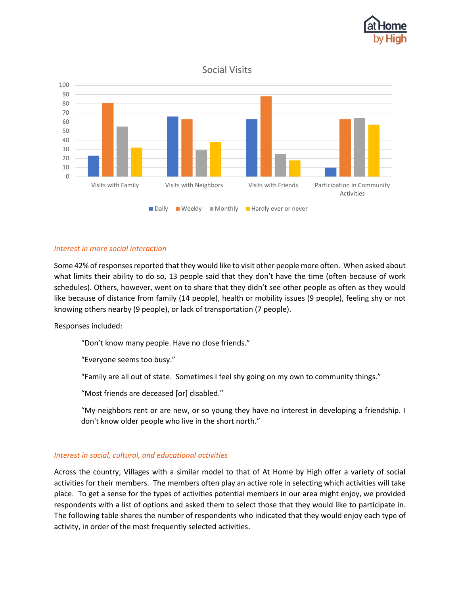

## Social Visits



### *Interest in more social interaction*

Some 42% of responses reported that they would like to visit other people more often. When asked about what limits their ability to do so, 13 people said that they don't have the time (often because of work schedules). Others, however, went on to share that they didn't see other people as often as they would like because of distance from family (14 people), health or mobility issues (9 people), feeling shy or not knowing others nearby (9 people), or lack of transportation (7 people).

Responses included:

"Don't know many people. Have no close friends."

"Everyone seems too busy."

"Family are all out of state. Sometimes I feel shy going on my own to community things."

"Most friends are deceased [or] disabled."

"My neighbors rent or are new, or so young they have no interest in developing a friendship. I don't know older people who live in the short north."

### *Interest in social, cultural, and educational activities*

Across the country, Villages with a similar model to that of At Home by High offer a variety of social activities for their members. The members often play an active role in selecting which activities will take place. To get a sense for the types of activities potential members in our area might enjoy, we provided respondents with a list of options and asked them to select those that they would like to participate in. The following table shares the number of respondents who indicated that they would enjoy each type of activity, in order of the most frequently selected activities.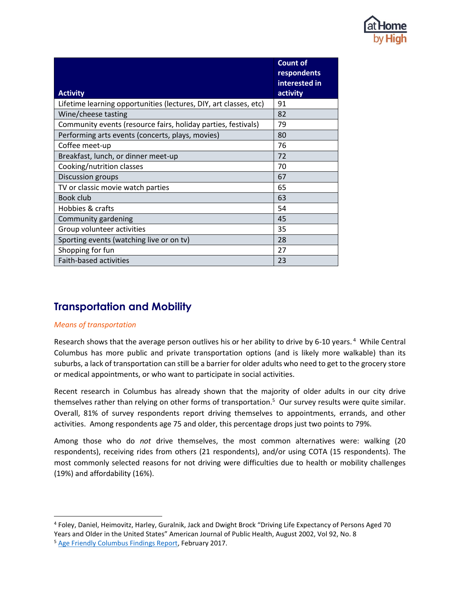

|                                                                   | <b>Count of</b><br>respondents |
|-------------------------------------------------------------------|--------------------------------|
| <b>Activity</b>                                                   | interested in<br>activity      |
| Lifetime learning opportunities (lectures, DIY, art classes, etc) | 91                             |
| Wine/cheese tasting                                               | 82                             |
| Community events (resource fairs, holiday parties, festivals)     | 79                             |
| Performing arts events (concerts, plays, movies)                  | 80                             |
| Coffee meet-up                                                    | 76                             |
| Breakfast, lunch, or dinner meet-up                               | 72                             |
| Cooking/nutrition classes                                         | 70                             |
| Discussion groups                                                 | 67                             |
| TV or classic movie watch parties                                 | 65                             |
| Book club                                                         | 63                             |
| Hobbies & crafts                                                  | 54                             |
| Community gardening                                               | 45                             |
| Group volunteer activities                                        | 35                             |
| Sporting events (watching live or on tv)                          | 28                             |
| Shopping for fun                                                  | 27                             |
| Faith-based activities                                            | 23                             |

# **Transportation and Mobility**

### *Means of transportation*

 $\overline{a}$ 

Research shows that the average person outlives his or her ability to drive by 6-10 years.<sup>4</sup> While Central Columbus has more public and private transportation options (and is likely more walkable) than its suburbs, a lack of transportation can still be a barrier for older adults who need to get to the grocery store or medical appointments, or who want to participate in social activities.

Recent research in Columbus has already shown that the majority of older adults in our city drive themselves rather than relying on other forms of transportation.<sup>5</sup> Our survey results were quite similar. Overall, 81% of survey respondents report driving themselves to appointments, errands, and other activities. Among respondents age 75 and older, this percentage drops just two points to 79%.

Among those who do *not* drive themselves, the most common alternatives were: walking (20 respondents), receiving rides from others (21 respondents), and/or using COTA (15 respondents). The most commonly selected reasons for not driving were difficulties due to health or mobility challenges (19%) and affordability (16%).

<sup>4</sup> Foley, Daniel, Heimovitz, Harley, Guralnik, Jack and Dwight Brock "Driving Life Expectancy of Persons Aged 70 Years and Older in the United States" American Journal of Public Health, August 2002, Vol 92, No. 8 <sup>5</sup> Age Friendly Columbus Findings Report, February 2017.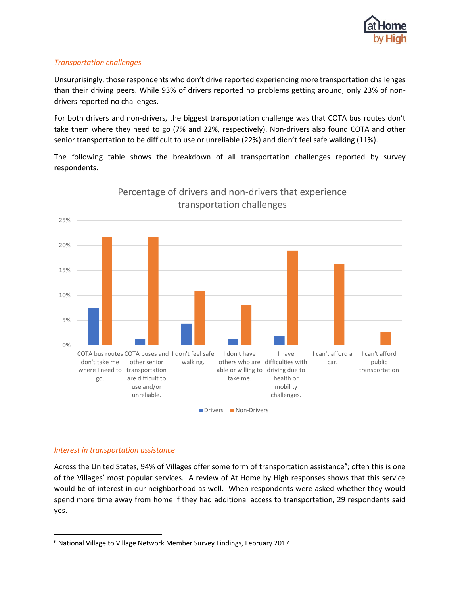

## *Transportation challenges*

Unsurprisingly, those respondents who don't drive reported experiencing more transportation challenges than their driving peers. While 93% of drivers reported no problems getting around, only 23% of nondrivers reported no challenges.

For both drivers and non-drivers, the biggest transportation challenge was that COTA bus routes don't take them where they need to go (7% and 22%, respectively). Non-drivers also found COTA and other senior transportation to be difficult to use or unreliable (22%) and didn't feel safe walking (11%).

The following table shows the breakdown of all transportation challenges reported by survey respondents.



# Percentage of drivers and non-drivers that experience transportation challenges

### *Interest in transportation assistance*

 $\overline{\phantom{a}}$ 

Across the United States, 94% of Villages offer some form of transportation assistance<sup>6</sup>; often this is one of the Villages' most popular services. A review of At Home by High responses shows that this service would be of interest in our neighborhood as well. When respondents were asked whether they would spend more time away from home if they had additional access to transportation, 29 respondents said yes.

<sup>6</sup> National Village to Village Network Member Survey Findings, February 2017.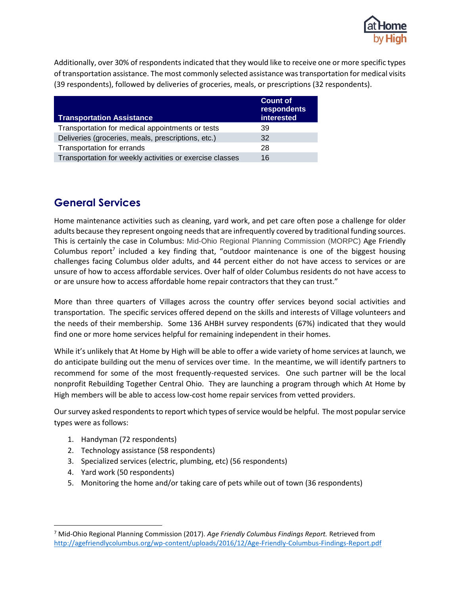

Additionally, over 30% of respondents indicated that they would like to receive one or more specific types of transportation assistance. The most commonly selected assistance was transportation for medical visits (39 respondents), followed by deliveries of groceries, meals, or prescriptions (32 respondents).

| <b>Transportation Assistance</b>                         | <b>Count of</b><br>respondents<br>interested |
|----------------------------------------------------------|----------------------------------------------|
| Transportation for medical appointments or tests         | 39                                           |
| Deliveries (groceries, meals, prescriptions, etc.)       | 32                                           |
| Transportation for errands                               | 28                                           |
| Transportation for weekly activities or exercise classes | 16                                           |

# **General Services**

Home maintenance activities such as cleaning, yard work, and pet care often pose a challenge for older adults because they represent ongoing needs that are infrequently covered by traditional funding sources. This is certainly the case in Columbus: Mid-Ohio Regional Planning Commission (MORPC) Age Friendly Columbus report<sup>7</sup> included a key finding that, "outdoor maintenance is one of the biggest housing challenges facing Columbus older adults, and 44 percent either do not have access to services or are unsure of how to access affordable services. Over half of older Columbus residents do not have access to or are unsure how to access affordable home repair contractors that they can trust."

More than three quarters of Villages across the country offer services beyond social activities and transportation. The specific services offered depend on the skills and interests of Village volunteers and the needs of their membership. Some 136 AHBH survey respondents (67%) indicated that they would find one or more home services helpful for remaining independent in their homes.

While it's unlikely that At Home by High will be able to offer a wide variety of home services at launch, we do anticipate building out the menu of services over time. In the meantime, we will identify partners to recommend for some of the most frequently-requested services. One such partner will be the local nonprofit Rebuilding Together Central Ohio. They are launching a program through which At Home by High members will be able to access low-cost home repair services from vetted providers.

Our survey asked respondents to report which types of service would be helpful. The most popular service types were as follows:

- 1. Handyman (72 respondents)
- 2. Technology assistance (58 respondents)
- 3. Specialized services (electric, plumbing, etc) (56 respondents)
- 4. Yard work (50 respondents)

 $\overline{\phantom{a}}$ 

5. Monitoring the home and/or taking care of pets while out of town (36 respondents)

<sup>7</sup> Mid-Ohio Regional Planning Commission (2017). *Age Friendly Columbus Findings Report.* Retrieved from http://agefriendlycolumbus.org/wp-content/uploads/2016/12/Age-Friendly-Columbus-Findings-Report.pdf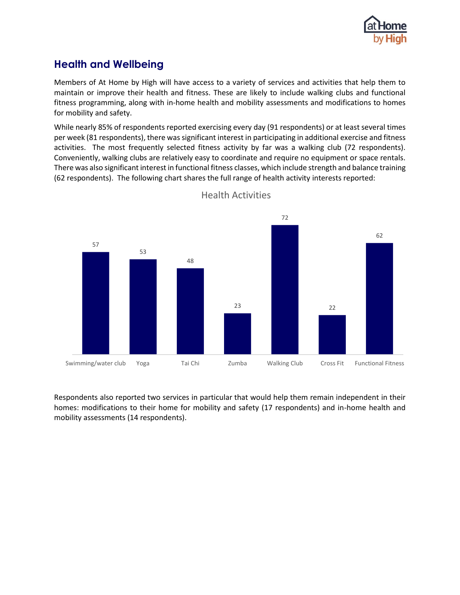

# **Health and Wellbeing**

Members of At Home by High will have access to a variety of services and activities that help them to maintain or improve their health and fitness. These are likely to include walking clubs and functional fitness programming, along with in-home health and mobility assessments and modifications to homes for mobility and safety.

While nearly 85% of respondents reported exercising every day (91 respondents) or at least several times per week (81 respondents), there was significant interest in participating in additional exercise and fitness activities. The most frequently selected fitness activity by far was a walking club (72 respondents). Conveniently, walking clubs are relatively easy to coordinate and require no equipment or space rentals. There was also significant interest in functional fitness classes, which include strength and balance training (62 respondents). The following chart shares the full range of health activity interests reported:



Health Activities

Respondents also reported two services in particular that would help them remain independent in their homes: modifications to their home for mobility and safety (17 respondents) and in-home health and mobility assessments (14 respondents).